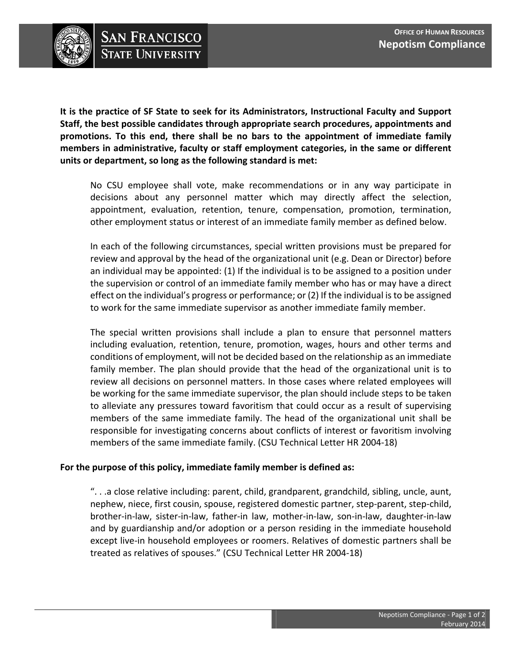

**It is the practice of SF State to seek for its Administrators, Instructional Faculty and Support Staff, the best possible candidates through appropriate search procedures, appointments and promotions. To this end, there shall be no bars to the appointment of immediate family members in administrative, faculty or staff employment categories, in the same or different units or department, so long as the following standard is met:**

No CSU employee shall vote, make recommendations or in any way participate in decisions about any personnel matter which may directly affect the selection, appointment, evaluation, retention, tenure, compensation, promotion, termination, other employment status or interest of an immediate family member as defined below.

In each of the following circumstances, special written provisions must be prepared for review and approval by the head of the organizational unit (e.g. Dean or Director) before an individual may be appointed: (1) If the individual is to be assigned to a position under the supervision or control of an immediate family member who has or may have a direct effect on the individual's progress or performance; or (2) If the individual isto be assigned to work for the same immediate supervisor as another immediate family member.

The special written provisions shall include a plan to ensure that personnel matters including evaluation, retention, tenure, promotion, wages, hours and other terms and conditions of employment, will not be decided based on the relationship as an immediate family member. The plan should provide that the head of the organizational unit is to review all decisions on personnel matters. In those cases where related employees will be working for the same immediate supervisor, the plan should include steps to be taken to alleviate any pressures toward favoritism that could occur as a result of supervising members of the same immediate family. The head of the organizational unit shall be responsible for investigating concerns about conflicts of interest or favoritism involving members of the same immediate family. (CSU Technical Letter HR 2004‐18)

## **For the purpose of this policy, immediate family member is defined as:**

". . .a close relative including: parent, child, grandparent, grandchild, sibling, uncle, aunt, nephew, niece, first cousin, spouse, registered domestic partner, step-parent, step-child, brother‐in‐law, sister‐in‐law, father‐in law, mother‐in‐law, son‐in‐law, daughter‐in‐law and by guardianship and/or adoption or a person residing in the immediate household except live-in household employees or roomers. Relatives of domestic partners shall be treated as relatives of spouses." (CSU Technical Letter HR 2004‐18)